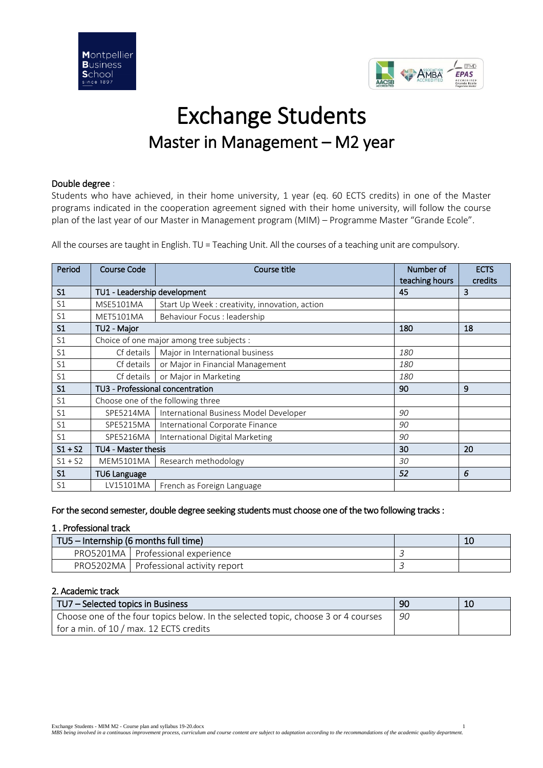

# Exchange Students Master in Management – M2 year

# Double degree :

Students who have achieved, in their home university, 1 year (eq. 60 ECTS credits) in one of the Master programs indicated in the cooperation agreement signed with their home university, will follow the course plan of the last year of our Master in Management program (MIM) – Programme Master "Grande Ecole".

All the courses are taught in English. TU = Teaching Unit. All the courses of a teaching unit are compulsory.

| Period         | <b>Course Code</b>               | Course title                                   | Number of<br>teaching hours | <b>ECTS</b><br>credits |
|----------------|----------------------------------|------------------------------------------------|-----------------------------|------------------------|
| S <sub>1</sub> | TU1 - Leadership development     |                                                | 45                          | 3                      |
| S <sub>1</sub> | <b>MSE5101MA</b>                 | Start Up Week : creativity, innovation, action |                             |                        |
| S <sub>1</sub> | MET5101MA                        | Behaviour Focus : leadership                   |                             |                        |
| S <sub>1</sub> | TU2 - Major                      |                                                | 180                         | 18                     |
| S <sub>1</sub> |                                  | Choice of one major among tree subjects :      |                             |                        |
| S <sub>1</sub> | Cf details                       | Major in International business                | 180                         |                        |
| S <sub>1</sub> | Cf details                       | or Major in Financial Management               | <i>180</i>                  |                        |
| S <sub>1</sub> | Cf details                       | or Major in Marketing                          | 180                         |                        |
| S <sub>1</sub> | TU3 - Professional concentration |                                                | 90                          | 9                      |
| S <sub>1</sub> |                                  | Choose one of the following three              |                             |                        |
| S <sub>1</sub> | SPE5214MA                        | International Business Model Developer         | 90                          |                        |
| S <sub>1</sub> | SPE5215MA                        | International Corporate Finance                | 90                          |                        |
| S <sub>1</sub> | SPE5216MA                        | International Digital Marketing                | 90                          |                        |
| $S1 + S2$      | TU4 - Master thesis              |                                                | 30                          | 20                     |
| $S1 + S2$      | MEM5101MA                        | Research methodology                           | 30                          |                        |
| S <sub>1</sub> | <b>TU6 Language</b>              |                                                | 52                          | 6                      |
| S1             | LV15101MA                        | French as Foreign Language                     |                             |                        |

For the second semester, double degree seeking students must choose one of the two following tracks :

# 1 . Professional track

| TU5 – Internship (6 months full time) |                                          | 10 |
|---------------------------------------|------------------------------------------|----|
|                                       | PRO5201MA   Professional experience      |    |
|                                       | PRO5202MA   Professional activity report |    |

# 2. Academic track

| TU7 – Selected topics in Business                                                 | 90 | 10 |
|-----------------------------------------------------------------------------------|----|----|
| Choose one of the four topics below. In the selected topic, choose 3 or 4 courses | 90 |    |
| for a min. of 10 / max. 12 ECTS credits                                           |    |    |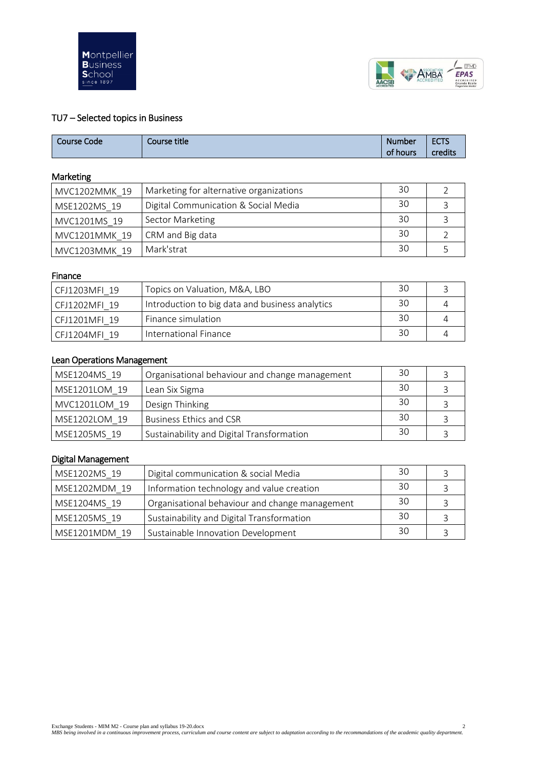



# TU7 – Selected topics in Business

| Course Code | Course title | <b>Number</b> | <b>ECTS</b> |
|-------------|--------------|---------------|-------------|
|             |              | of<br>hours   | credits     |

# Marketing

| MVC1202MMK 19 | Marketing for alternative organizations | 30 |  |
|---------------|-----------------------------------------|----|--|
| MSE1202MS 19  | Digital Communication & Social Media    | 30 |  |
| MVC1201MS 19  | <b>Sector Marketing</b>                 | 30 |  |
| MVC1201MMK 19 | CRM and Big data                        | 30 |  |
| MVC1203MMK 19 | Mark'strat                              | 30 |  |

# Finance

| CFJ1203MFI 19 | Topics on Valuation, M&A, LBO                   | 30 |  |
|---------------|-------------------------------------------------|----|--|
| CFJ1202MFI 19 | Introduction to big data and business analytics | 30 |  |
| CFJ1201MFI 19 | Finance simulation                              | 30 |  |
| CFJ1204MFI 19 | International Finance                           | 30 |  |

# Lean Operations Management

| MSE1204MS 19  | Organisational behaviour and change management | 30 |  |
|---------------|------------------------------------------------|----|--|
| MSE1201LOM 19 | Lean Six Sigma                                 | 30 |  |
| MVC1201LOM 19 | Design Thinking                                | 30 |  |
| MSE1202LOM 19 | <b>Business Ethics and CSR</b>                 | 30 |  |
| MSE1205MS 19  | Sustainability and Digital Transformation      | 30 |  |

# Digital Management

| MSE1202MS 19  | Digital communication & social Media           | 30 |  |
|---------------|------------------------------------------------|----|--|
| MSE1202MDM 19 | Information technology and value creation      | 30 |  |
| MSE1204MS 19  | Organisational behaviour and change management | 30 |  |
| MSE1205MS 19  | Sustainability and Digital Transformation      | 30 |  |
| MSE1201MDM 19 | Sustainable Innovation Development             | 30 |  |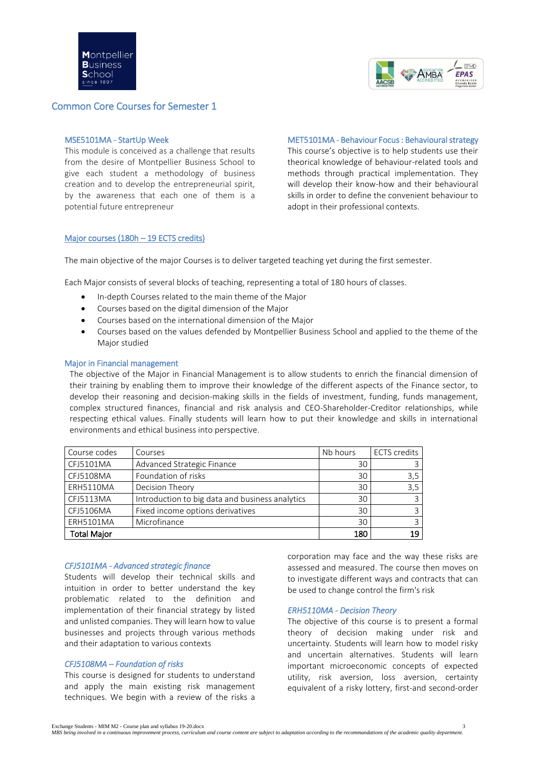

# Common Core Courses for Semester 1

### MSE5101MA - StartUp Week

This module is conceived as a challenge that results from the desire of Montpellier Business School to give each student a methodology of business creation and to develop the entrepreneurial spirit, by the awareness that each one of them is a potential future entrepreneur

MET5101MA - Behaviour Focus : Behavioural strategy

This course's objective is to help students use their theorical knowledge of behaviour-related tools and methods through practical implementation. They will develop their know-how and their behavioural skills in order to define the convenient behaviour to adopt in their professional contexts.

## Major courses (180h – 19 ECTS credits)

The main objective of the major Courses is to deliver targeted teaching yet during the first semester.

Each Major consists of several blocks of teaching, representing a total of 180 hours of classes.

- In-depth Courses related to the main theme of the Major
- Courses based on the digital dimension of the Major
- Courses based on the international dimension of the Major
- Courses based on the values defended by Montpellier Business School and applied to the theme of the Major studied

#### Major in Financial management

The objective of the Major in Financial Management is to allow students to enrich the financial dimension of their training by enabling them to improve their knowledge of the different aspects of the Finance sector, to develop their reasoning and decision-making skills in the fields of investment, funding, funds management, complex structured finances, financial and risk analysis and CEO-Shareholder-Creditor relationships, while respecting ethical values. Finally students will learn how to put their knowledge and skills in international environments and ethical business into perspective.

| Course codes       | Courses                                         | Nb hours | <b>ECTS</b> credits |
|--------------------|-------------------------------------------------|----------|---------------------|
| CFJ5101MA          | Advanced Strategic Finance                      | 30       | 3                   |
| CFJ5108MA          | Foundation of risks                             | 30       | 3,5                 |
| ERH5110MA          | Decision Theory                                 | 30       | 3,5                 |
| CFJ5113MA          | Introduction to big data and business analytics | 30       | 3                   |
| CFJ5106MA          | Fixed income options derivatives                | 30       | 3                   |
| <b>ERH5101MA</b>   | Microfinance                                    | 30       | 3                   |
| <b>Total Major</b> |                                                 | 180      | 19                  |

### *CFJ5101MA - Advanced strategic finance*

Students will develop their technical skills and intuition in order to better understand the key problematic related to the definition and implementation of their financial strategy by listed and unlisted companies. They will learn how to value businesses and projects through various methods and their adaptation to various contexts

## *CFJ5108MA – Foundation of risks*

This course is designed for students to understand and apply the main existing risk management techniques. We begin with a review of the risks a

corporation may face and the way these risks are assessed and measured. The course then moves on to investigate different ways and contracts that can be used to change control the firm's risk

#### *ERH5110MA - Decision Theory*

The objective of this course is to present a formal theory of decision making under risk and uncertainty. Students will learn how to model risky and uncertain alternatives. Students will learn important microeconomic concepts of expected utility, risk aversion, loss aversion, certainty equivalent of a risky lottery, first-and second-order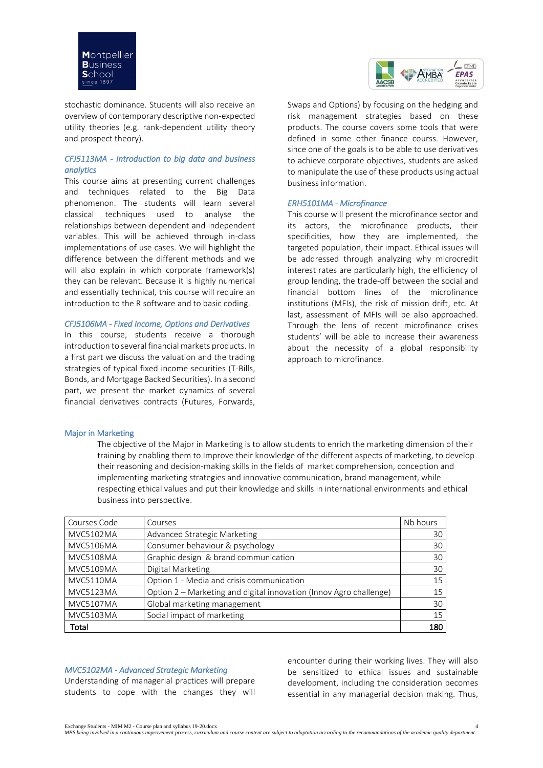



stochastic dominance. Students will also receive an overview of contemporary descriptive non-expected utility theories (e.g. rank-dependent utility theory and prospect theory).

# *CFJ5113MA - Introduction to big data and business analytics*

This course aims at presenting current challenges and techniques related to the Big Data phenomenon. The students will learn several classical techniques used to analyse the relationships between dependent and independent variables. This will be achieved through in-class implementations of use cases. We will highlight the difference between the different methods and we will also explain in which corporate framework(s) they can be relevant. Because it is highly numerical and essentially technical, this course will require an introduction to the R software and to basic coding.

## *CFJ5106MA - Fixed Income, Options and Derivatives*

In this course, students receive a thorough introduction to several financial markets products. In a first part we discuss the valuation and the trading strategies of typical fixed income securities (T-Bills, Bonds, and Mortgage Backed Securities). In a second part, we present the market dynamics of several financial derivatives contracts (Futures, Forwards, Swaps and Options) by focusing on the hedging and risk management strategies based on these products. The course covers some tools that were defined in some other finance courss. However, since one of the goals is to be able to use derivatives to achieve corporate objectives, students are asked to manipulate the use of these products using actual business information.

## *ERH5101MA - Microfinance*

This course will present the microfinance sector and its actors, the microfinance products, their specificities, how they are implemented, the targeted population, their impact. Ethical issues will be addressed through analyzing why microcredit interest rates are particularly high, the efficiency of group lending, the trade-off between the social and financial bottom lines of the microfinance institutions (MFIs), the risk of mission drift, etc. At last, assessment of MFIs will be also approached. Through the lens of recent microfinance crises students' will be able to increase their awareness about the necessity of a global responsibility approach to microfinance.

#### Major in Marketing

The objective of the Major in Marketing is to allow students to enrich the marketing dimension of their training by enabling them to Improve their knowledge of the different aspects of marketing, to develop their reasoning and decision-making skills in the fields of market comprehension, conception and implementing marketing strategies and innovative communication, brand management, while respecting ethical values and put their knowledge and skills in international environments and ethical business into perspective.

| Courses Code     | Courses                                                            | Nb hours |
|------------------|--------------------------------------------------------------------|----------|
| <b>MVC5102MA</b> | Advanced Strategic Marketing                                       | 30       |
| <b>MVC5106MA</b> | Consumer behaviour & psychology                                    | 30       |
| <b>MVC5108MA</b> | Graphic design & brand communication                               | 30       |
| <b>MVC5109MA</b> | Digital Marketing                                                  | 30       |
| MVC5110MA        | Option 1 - Media and crisis communication                          | 15       |
| MVC5123MA        | Option 2 - Marketing and digital innovation (Innov Agro challenge) | 15       |
| <b>MVC5107MA</b> | Global marketing management                                        | 30       |
| <b>MVC5103MA</b> | Social impact of marketing                                         | 15       |
| Total            |                                                                    | 180      |

#### *MVC5102MA - Advanced Strategic Marketing*

Understanding of managerial practices will prepare students to cope with the changes they will encounter during their working lives. They will also be sensitized to ethical issues and sustainable development, including the consideration becomes essential in any managerial decision making. Thus,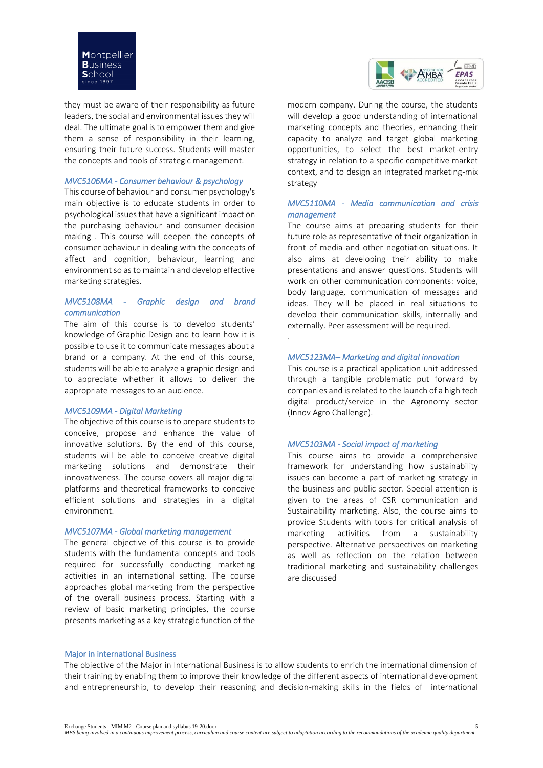

they must be aware of their responsibility as future leaders, the social and environmental issues they will deal. The ultimate goal is to empower them and give them a sense of responsibility in their learning, ensuring their future success. Students will master the concepts and tools of strategic management.

#### *MVC5106MA - Consumer behaviour & psychology*

This course of behaviour and consumer psychology's main objective is to educate students in order to psychological issues that have a significant impact on the purchasing behaviour and consumer decision making . This course will deepen the concepts of consumer behaviour in dealing with the concepts of affect and cognition, behaviour, learning and environment so as to maintain and develop effective marketing strategies.

#### *MVC5108MA - Graphic design and brand communication*

The aim of this course is to develop students' knowledge of Graphic Design and to learn how it is possible to use it to communicate messages about a brand or a company. At the end of this course, students will be able to analyze a graphic design and to appreciate whether it allows to deliver the appropriate messages to an audience.

#### *MVC5109MA - Digital Marketing*

The objective of this course is to prepare students to conceive, propose and enhance the value of innovative solutions. By the end of this course, students will be able to conceive creative digital marketing solutions and demonstrate their innovativeness. The course covers all major digital platforms and theoretical frameworks to conceive efficient solutions and strategies in a digital environment.

#### *MVC5107MA - Global marketing management*

The general objective of this course is to provide students with the fundamental concepts and tools required for successfully conducting marketing activities in an international setting. The course approaches global marketing from the perspective of the overall business process. Starting with a review of basic marketing principles, the course presents marketing as a key strategic function of the



modern company. During the course, the students will develop a good understanding of international marketing concepts and theories, enhancing their capacity to analyze and target global marketing opportunities, to select the best market-entry strategy in relation to a specific competitive market context, and to design an integrated marketing-mix strategy

# *MVC5110MA - Media communication and crisis management*

The course aims at preparing students for their future role as representative of their organization in front of media and other negotiation situations. It also aims at developing their ability to make presentations and answer questions. Students will work on other communication components: voice, body language, communication of messages and ideas. They will be placed in real situations to develop their communication skills, internally and externally. Peer assessment will be required.

#### *MVC5123MA– Marketing and digital innovation*

This course is a practical application unit addressed through a tangible problematic put forward by companies and is related to the launch of a high tech digital product/service in the Agronomy sector (Innov Agro Challenge).

## *MVC5103MA - Social impact of marketing*

This course aims to provide a comprehensive framework for understanding how sustainability issues can become a part of marketing strategy in the business and public sector. Special attention is given to the areas of CSR communication and Sustainability marketing. Also, the course aims to provide Students with tools for critical analysis of marketing activities from a sustainability perspective. Alternative perspectives on marketing as well as reflection on the relation between traditional marketing and sustainability challenges are discussed

#### Major in international Business

The objective of the Major in International Business is to allow students to enrich the international dimension of their training by enabling them to improve their knowledge of the different aspects of international development and entrepreneurship, to develop their reasoning and decision-making skills in the fields of international

.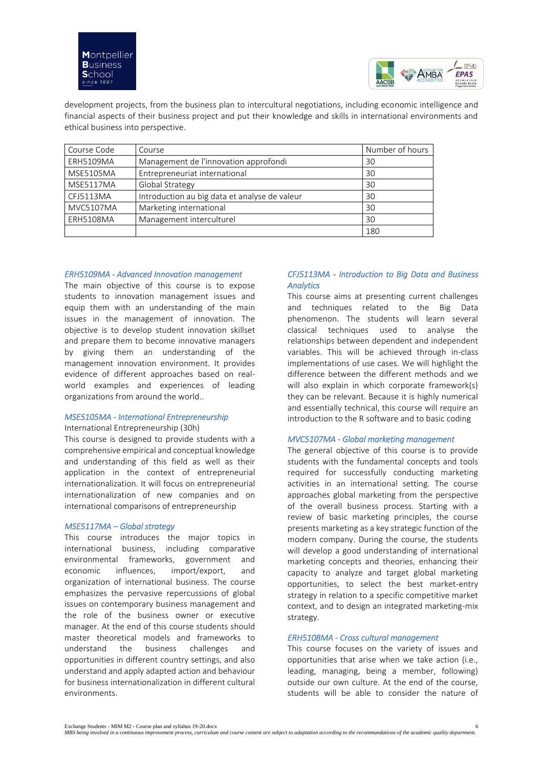

development projects, from the business plan to intercultural negotiations, including economic intelligence and financial aspects of their business project and put their knowledge and skills in international environments and ethical business into perspective.

| Course Code      | Course                                        | Number of hours |
|------------------|-----------------------------------------------|-----------------|
| <b>ERH5109MA</b> | Management de l'innovation approfondi         | 30              |
| <b>MSE5105MA</b> | Entrepreneuriat international                 | 30              |
| MSE5117MA        | Global Strategy                               | 30              |
| CFJ5113MA        | Introduction au big data et analyse de valeur | 30              |
| MVC5107MA        | Marketing international                       | 30              |
| <b>ERH5108MA</b> | Management interculturel                      | 30              |
|                  |                                               | 180             |

## *ERH5109MA - Advanced Innovation management*

The main objective of this course is to expose students to innovation management issues and equip them with an understanding of the main issues in the management of innovation. The objective is to develop student innovation skillset and prepare them to become innovative managers by giving them an understanding of the management innovation environment. It provides evidence of different approaches based on realworld examples and experiences of leading organizations from around the world..

# *MSE5105MA - International Entrepreneurship*

#### International Entrepreneurship (30h)

This course is designed to provide students with a comprehensive empirical and conceptual knowledge and understanding of this field as well as their application in the context of entrepreneurial internationalization. It will focus on entrepreneurial internationalization of new companies and on international comparisons of entrepreneurship

### *MSE5117MA – Global strategy*

This course introduces the major topics in international business, including comparative environmental frameworks, government and economic influences, import/export, and organization of international business. The course emphasizes the pervasive repercussions of global issues on contemporary business management and the role of the business owner or executive manager. At the end of this course students should master theoretical models and frameworks to understand the business challenges and opportunities in different country settings, and also understand and apply adapted action and behaviour for business internationalization in different cultural environments.

# *CFJ5113MA - Introduction to Big Data and Business Analytics*

This course aims at presenting current challenges and techniques related to the Big Data phenomenon. The students will learn several classical techniques used to analyse the relationships between dependent and independent variables. This will be achieved through in-class implementations of use cases. We will highlight the difference between the different methods and we will also explain in which corporate framework(s) they can be relevant. Because it is highly numerical and essentially technical, this course will require an introduction to the R software and to basic coding

### *MVC5107MA - Global marketing management*

The general objective of this course is to provide students with the fundamental concepts and tools required for successfully conducting marketing activities in an international setting. The course approaches global marketing from the perspective of the overall business process. Starting with a review of basic marketing principles, the course presents marketing as a key strategic function of the modern company. During the course, the students will develop a good understanding of international marketing concepts and theories, enhancing their capacity to analyze and target global marketing opportunities, to select the best market-entry strategy in relation to a specific competitive market context, and to design an integrated marketing-mix strategy.

## *ERH5108MA - Cross cultural management*

This course focuses on the variety of issues and opportunities that arise when we take action (i.e., leading, managing, being a member, following) outside our own culture. At the end of the course, students will be able to consider the nature of

Exchange Students - MIM M2 - Course plan and syllabus 19-20.docx 6

*MBS being involved in a continuous improvement process, curriculum and course content are subject to adaptation according to the recommandations of the academic quality department.*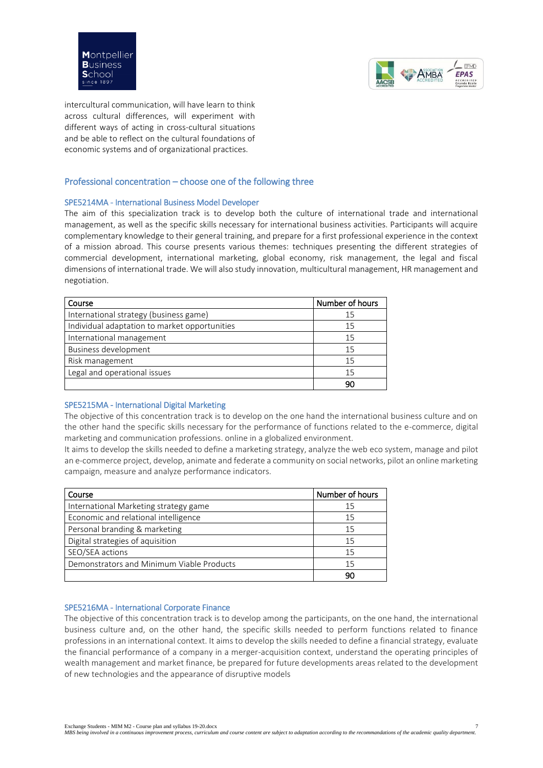



intercultural communication, will have learn to think across cultural differences, will experiment with different ways of acting in cross-cultural situations and be able to reflect on the cultural foundations of economic systems and of organizational practices.

# Professional concentration – choose one of the following three

## SPE5214MA - International Business Model Developer

The aim of this specialization track is to develop both the culture of international trade and international management, as well as the specific skills necessary for international business activities. Participants will acquire complementary knowledge to their general training, and prepare for a first professional experience in the context of a mission abroad. This course presents various themes: techniques presenting the different strategies of commercial development, international marketing, global economy, risk management, the legal and fiscal dimensions of international trade. We will also study innovation, multicultural management, HR management and negotiation.

| Course                                        | Number of hours |
|-----------------------------------------------|-----------------|
| International strategy (business game)        | 15              |
| Individual adaptation to market opportunities | 15              |
| International management                      | 15              |
| Business development                          | 15              |
| Risk management                               | 15              |
| Legal and operational issues                  | 15              |
|                                               | 90              |

# SPE5215MA - International Digital Marketing

The objective of this concentration track is to develop on the one hand the international business culture and on the other hand the specific skills necessary for the performance of functions related to the e-commerce, digital marketing and communication professions. online in a globalized environment.

It aims to develop the skills needed to define a marketing strategy, analyze the web eco system, manage and pilot an e-commerce project, develop, animate and federate a community on social networks, pilot an online marketing campaign, measure and analyze performance indicators.

| Course                                    | Number of hours |
|-------------------------------------------|-----------------|
| International Marketing strategy game     | 15              |
| Economic and relational intelligence      | 15              |
| Personal branding & marketing             | 15              |
| Digital strategies of aquisition          | 15              |
| SEO/SEA actions                           | 15              |
| Demonstrators and Minimum Viable Products | 15              |
|                                           | 90              |

## SPE5216MA - International Corporate Finance

The objective of this concentration track is to develop among the participants, on the one hand, the international business culture and, on the other hand, the specific skills needed to perform functions related to finance professions in an international context. It aims to develop the skills needed to define a financial strategy, evaluate the financial performance of a company in a merger-acquisition context, understand the operating principles of wealth management and market finance, be prepared for future developments areas related to the development of new technologies and the appearance of disruptive models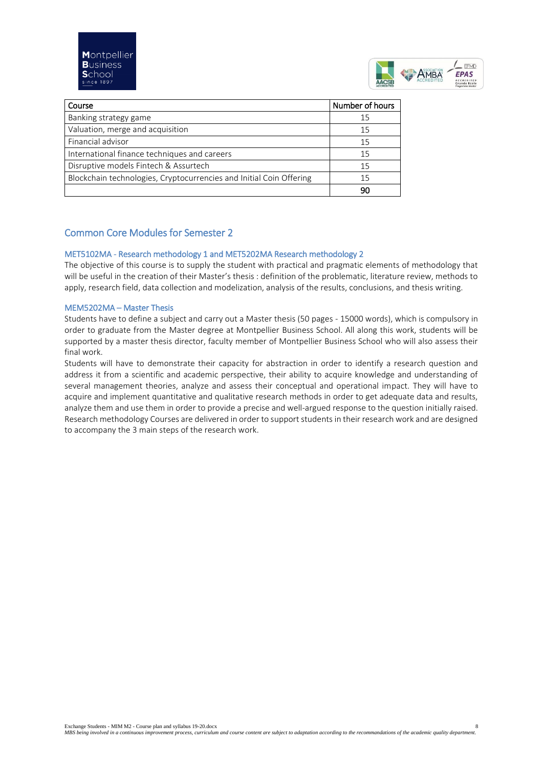

| Course                                                              | Number of hours |
|---------------------------------------------------------------------|-----------------|
| Banking strategy game                                               | 15              |
| Valuation, merge and acquisition                                    | 15              |
| Financial advisor                                                   | 15              |
| International finance techniques and careers                        | 15              |
| Disruptive models Fintech & Assurtech                               | 15              |
| Blockchain technologies, Cryptocurrencies and Initial Coin Offering | 15              |
|                                                                     | 90              |

# Common Core Modules for Semester 2

# MET5102MA - Research methodology 1 and MET5202MA Research methodology 2

The objective of this course is to supply the student with practical and pragmatic elements of methodology that will be useful in the creation of their Master's thesis : definition of the problematic, literature review, methods to apply, research field, data collection and modelization, analysis of the results, conclusions, and thesis writing.

# MEM5202MA – Master Thesis

Students have to define a subject and carry out a Master thesis (50 pages - 15000 words), which is compulsory in order to graduate from the Master degree at Montpellier Business School. All along this work, students will be supported by a master thesis director, faculty member of Montpellier Business School who will also assess their final work.

Students will have to demonstrate their capacity for abstraction in order to identify a research question and address it from a scientific and academic perspective, their ability to acquire knowledge and understanding of several management theories, analyze and assess their conceptual and operational impact. They will have to acquire and implement quantitative and qualitative research methods in order to get adequate data and results, analyze them and use them in order to provide a precise and well-argued response to the question initially raised. Research methodology Courses are delivered in order to support students in their research work and are designed to accompany the 3 main steps of the research work.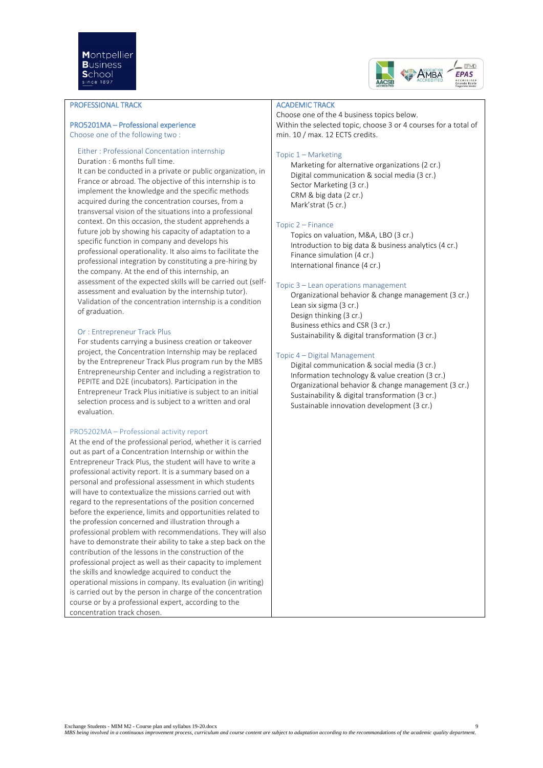

### PROFESSIONAL TRACK

## PRO5201MA – Professional experience

Choose one of the following two :

#### Either : Professional Concentation internship Duration : 6 months full time.

It can be conducted in a private or public organization, in France or abroad. The objective of this internship is to implement the knowledge and the specific methods acquired during the concentration courses, from a transversal vision of the situations into a professional context. On this occasion, the student apprehends a future job by showing his capacity of adaptation to a specific function in company and develops his professional operationality. It also aims to facilitate the professional integration by constituting a pre-hiring by the company. At the end of this internship, an assessment of the expected skills will be carried out (selfassessment and evaluation by the internship tutor). Validation of the concentration internship is a condition of graduation.

#### Or : Entrepreneur Track Plus

For students carrying a business creation or takeover project, the Concentration Internship may be replaced by the Entrepreneur Track Plus program run by the MBS Entrepreneurship Center and including a registration to PEPITE and D2E (incubators). Participation in the Entrepreneur Track Plus initiative is subject to an initial selection process and is subject to a written and oral evaluation.

#### PRO5202MA – Professional activity report

At the end of the professional period, whether it is carried out as part of a Concentration Internship or within the Entrepreneur Track Plus, the student will have to write a professional activity report. It is a summary based on a personal and professional assessment in which students will have to contextualize the missions carried out with regard to the representations of the position concerned before the experience, limits and opportunities related to the profession concerned and illustration through a professional problem with recommendations. They will also have to demonstrate their ability to take a step back on the contribution of the lessons in the construction of the professional project as well as their capacity to implement the skills and knowledge acquired to conduct the operational missions in company. Its evaluation (in writing) is carried out by the person in charge of the concentration course or by a professional expert, according to the concentration track chosen.

#### ACADEMIC TRACK

Choose one of the 4 business topics below. Within the selected topic, choose 3 or 4 courses for a total of min. 10 / max. 12 ECTS credits.

#### Topic 1 – Marketing

Marketing for alternative organizations (2 cr.) Digital communication & social media (3 cr.) Sector Marketing (3 cr.) CRM & big data (2 cr.) Mark'strat (5 cr.)

## Topic 2 – Finance

Topics on valuation, M&A, LBO (3 cr.) Introduction to big data & business analytics (4 cr.) Finance simulation (4 cr.) International finance (4 cr.)

#### Topic 3 – Lean operations management

Organizational behavior & change management (3 cr.) Lean six sigma (3 cr.) Design thinking (3 cr.) Business ethics and CSR (3 cr.) Sustainability & digital transformation (3 cr.)

#### Topic 4 – Digital Management

Digital communication & social media (3 cr.) Information technology & value creation (3 cr.) Organizational behavior & change management (3 cr.) Sustainability & digital transformation (3 cr.) Sustainable innovation development (3 cr.)